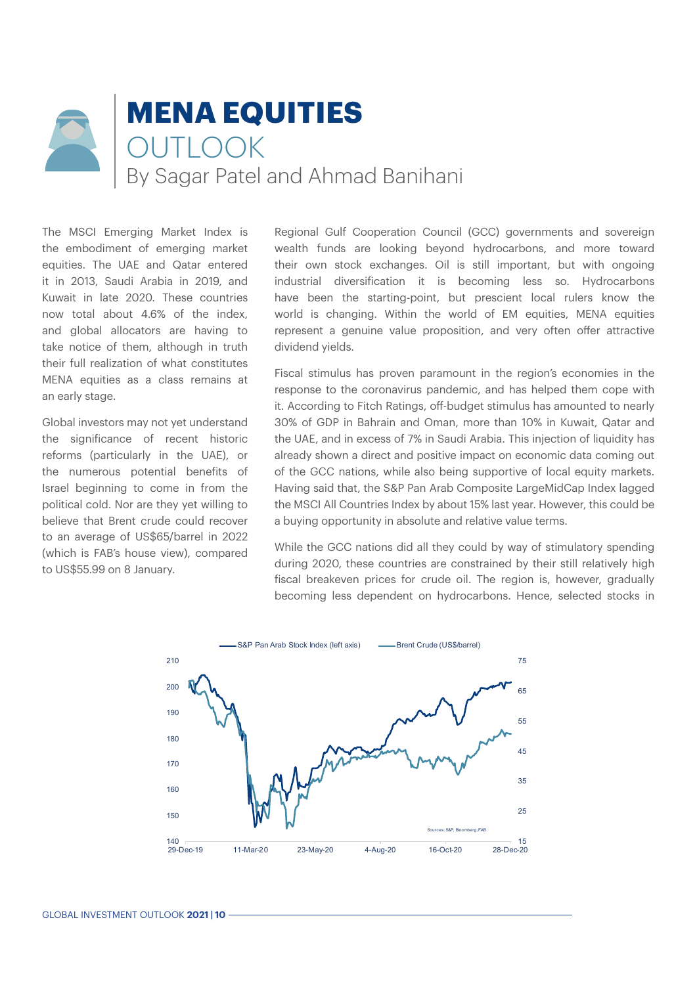# **MENA EQUITIES OUTLOOK** By Sagar Patel and Ahmad Banihani

The MSCI Emerging Market Index is the embodiment of emerging market equities. The UAE and Qatar entered it in 2013, Saudi Arabia in 2019, and Kuwait in late 2020. These countries now total about 4.6% of the index, and global allocators are having to take notice of them, although in truth their full realization of what constitutes MENA equities as a class remains at an early stage.

Global investors may not yet understand the significance of recent historic reforms (particularly in the UAE), or the numerous potential benefits of Israel beginning to come in from the political cold. Nor are they yet willing to believe that Brent crude could recover to an average of US\$65/barrel in 2022 (which is FAB's house view), compared to US\$55.99 on 8 January.

Regional Gulf Cooperation Council (GCC) governments and sovereign wealth funds are looking beyond hydrocarbons, and more toward their own stock exchanges. Oil is still important, but with ongoing industrial diversification it is becoming less so. Hydrocarbons have been the starting-point, but prescient local rulers know the world is changing. Within the world of EM equities, MENA equities represent a genuine value proposition, and very often offer attractive dividend yields.

Fiscal stimulus has proven paramount in the region's economies in the response to the coronavirus pandemic, and has helped them cope with it. According to Fitch Ratings, off-budget stimulus has amounted to nearly 30% of GDP in Bahrain and Oman, more than 10% in Kuwait, Qatar and the UAE, and in excess of 7% in Saudi Arabia. This injection of liquidity has already shown a direct and positive impact on economic data coming out of the GCC nations, while also being supportive of local equity markets. Having said that, the S&P Pan Arab Composite LargeMidCap Index lagged the MSCI All Countries Index by about 15% last year. However, this could be a buying opportunity in absolute and relative value terms.

While the GCC nations did all they could by way of stimulatory spending during 2020, these countries are constrained by their still relatively high fiscal breakeven prices for crude oil. The region is, however, gradually becoming less dependent on hydrocarbons. Hence, selected stocks in

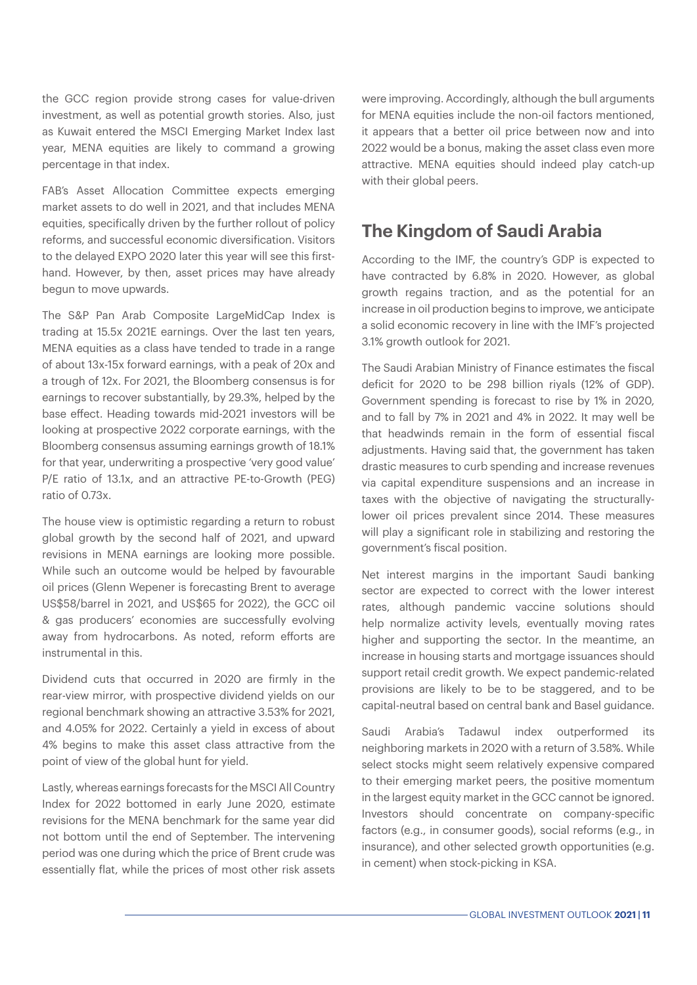the GCC region provide strong cases for value-driven investment, as well as potential growth stories. Also, just as Kuwait entered the MSCI Emerging Market Index last year, MENA equities are likely to command a growing percentage in that index.

FAB's Asset Allocation Committee expects emerging market assets to do well in 2021, and that includes MENA equities, specifically driven by the further rollout of policy reforms, and successful economic diversification. Visitors to the delayed EXPO 2020 later this year will see this firsthand. However, by then, asset prices may have already begun to move upwards.

The S&P Pan Arab Composite LargeMidCap Index is trading at 15.5x 2021E earnings. Over the last ten years, MENA equities as a class have tended to trade in a range of about 13x-15x forward earnings, with a peak of 20x and a trough of 12x. For 2021, the Bloomberg consensus is for earnings to recover substantially, by 29.3%, helped by the base effect. Heading towards mid-2021 investors will be looking at prospective 2022 corporate earnings, with the Bloomberg consensus assuming earnings growth of 18.1% for that year, underwriting a prospective 'very good value' P/E ratio of 13.1x, and an attractive PE-to-Growth (PEG) ratio of 0.73x.

The house view is optimistic regarding a return to robust global growth by the second half of 2021, and upward revisions in MENA earnings are looking more possible. While such an outcome would be helped by favourable oil prices (Glenn Wepener is forecasting Brent to average US\$58/barrel in 2021, and US\$65 for 2022), the GCC oil & gas producers' economies are successfully evolving away from hydrocarbons. As noted, reform efforts are instrumental in this.

Dividend cuts that occurred in 2020 are firmly in the rear-view mirror, with prospective dividend yields on our regional benchmark showing an attractive 3.53% for 2021, and 4.05% for 2022. Certainly a yield in excess of about 4% begins to make this asset class attractive from the point of view of the global hunt for yield.

Lastly, whereas earnings forecasts for the MSCI All Country Index for 2022 bottomed in early June 2020, estimate revisions for the MENA benchmark for the same year did not bottom until the end of September. The intervening period was one during which the price of Brent crude was essentially flat, while the prices of most other risk assets were improving. Accordingly, although the bull arguments for MENA equities include the non-oil factors mentioned, it appears that a better oil price between now and into 2022 would be a bonus, making the asset class even more attractive. MENA equities should indeed play catch-up with their global peers.

## **The Kingdom of Saudi Arabia**

According to the IMF, the country's GDP is expected to have contracted by 6.8% in 2020. However, as global growth regains traction, and as the potential for an increase in oil production begins to improve, we anticipate a solid economic recovery in line with the IMF's projected 3.1% growth outlook for 2021.

The Saudi Arabian Ministry of Finance estimates the fiscal deficit for 2020 to be 298 billion riyals (12% of GDP). Government spending is forecast to rise by 1% in 2020, and to fall by 7% in 2021 and 4% in 2022. It may well be that headwinds remain in the form of essential fiscal adjustments. Having said that, the government has taken drastic measures to curb spending and increase revenues via capital expenditure suspensions and an increase in taxes with the objective of navigating the structurallylower oil prices prevalent since 2014. These measures will play a significant role in stabilizing and restoring the government's fiscal position.

Net interest margins in the important Saudi banking sector are expected to correct with the lower interest rates, although pandemic vaccine solutions should help normalize activity levels, eventually moving rates higher and supporting the sector. In the meantime, an increase in housing starts and mortgage issuances should support retail credit growth. We expect pandemic-related provisions are likely to be to be staggered, and to be capital-neutral based on central bank and Basel guidance.

Saudi Arabia's Tadawul index outperformed its neighboring markets in 2020 with a return of 3.58%. While select stocks might seem relatively expensive compared to their emerging market peers, the positive momentum in the largest equity market in the GCC cannot be ignored. Investors should concentrate on company-specific factors (e.g., in consumer goods), social reforms (e.g., in insurance), and other selected growth opportunities (e.g. in cement) when stock-picking in KSA.